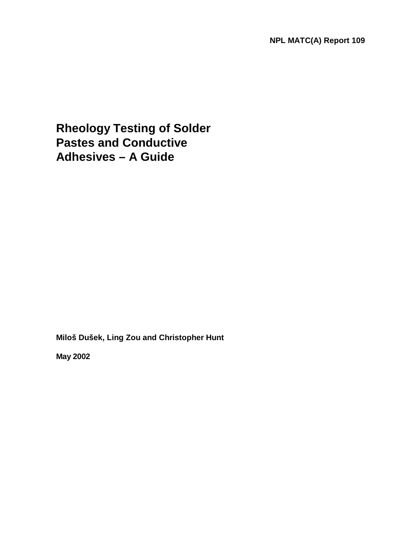**Rheology Testing of Solder Pastes and Conductive Adhesives – A Guide**

**Miloš Dušek, Ling Zou and Christopher Hunt** 

**May 2002**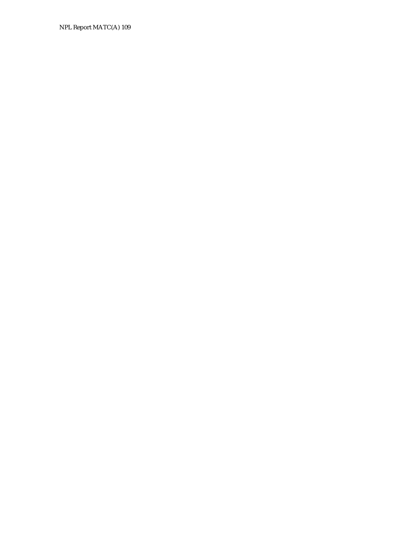NPL Report MATC(A) 109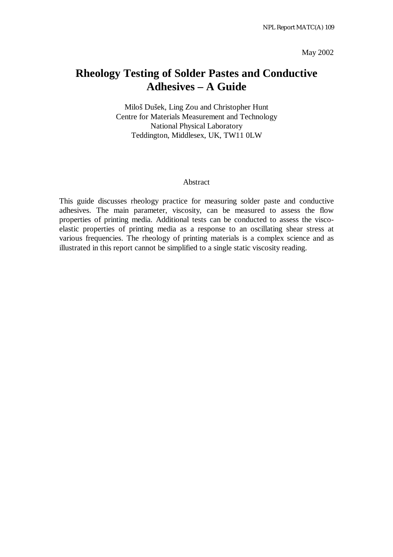May 2002

# **Rheology Testing of Solder Pastes and Conductive Adhesives – A Guide**

Miloš Dušek, Ling Zou and Christopher Hunt Centre for Materials Measurement and Technology National Physical Laboratory Teddington, Middlesex, UK, TW11 0LW

#### Abstract

This guide discusses rheology practice for measuring solder paste and conductive adhesives. The main parameter, viscosity, can be measured to assess the flow properties of printing media. Additional tests can be conducted to assess the viscoelastic properties of printing media as a response to an oscillating shear stress at various frequencies. The rheology of printing materials is a complex science and as illustrated in this report cannot be simplified to a single static viscosity reading.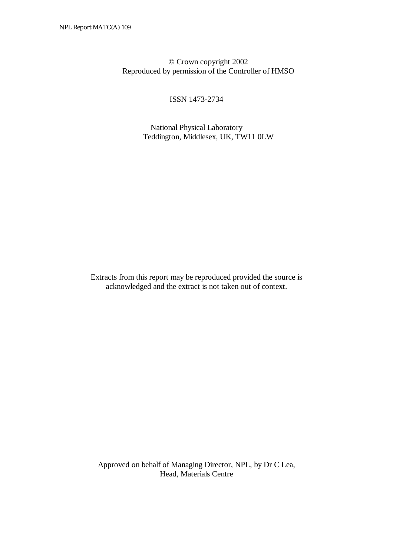© Crown copyright 2002 Reproduced by permission of the Controller of HMSO

ISSN 1473-2734

National Physical Laboratory Teddington, Middlesex, UK, TW11 0LW

Extracts from this report may be reproduced provided the source is acknowledged and the extract is not taken out of context.

Approved on behalf of Managing Director, NPL, by Dr C Lea, Head, Materials Centre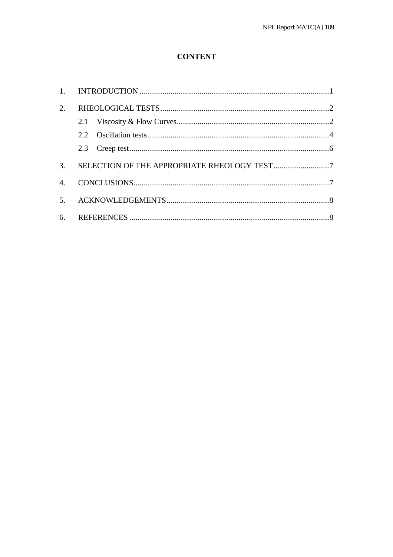## **CONTENT**

| 2.               |  |  |  |
|------------------|--|--|--|
|                  |  |  |  |
|                  |  |  |  |
|                  |  |  |  |
| 3.               |  |  |  |
| $\overline{4}$ . |  |  |  |
|                  |  |  |  |
|                  |  |  |  |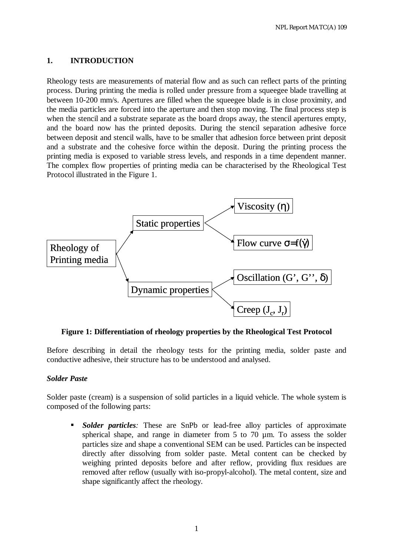## **1. INTRODUCTION**

Rheology tests are measurements of material flow and as such can reflect parts of the printing process. During printing the media is rolled under pressure from a squeegee blade travelling at between 10-200 mm/s. Apertures are filled when the squeegee blade is in close proximity, and the media particles are forced into the aperture and then stop moving. The final process step is when the stencil and a substrate separate as the board drops away, the stencil apertures empty, and the board now has the printed deposits. During the stencil separation adhesive force between deposit and stencil walls, have to be smaller that adhesion force between print deposit and a substrate and the cohesive force within the deposit. During the printing process the printing media is exposed to variable stress levels, and responds in a time dependent manner. The complex flow properties of printing media can be characterised by the Rheological Test Protocol illustrated in the Figure 1.



**Figure 1: Differentiation of rheology properties by the Rheological Test Protocol** 

Before describing in detail the rheology tests for the printing media, solder paste and conductive adhesive, their structure has to be understood and analysed.

#### *Solder Paste*

Solder paste (cream) is a suspension of solid particles in a liquid vehicle. The whole system is composed of the following parts:

*Solder particles:* These are SnPb or lead-free alloy particles of approximate spherical shape, and range in diameter from 5 to 70  $\mu$ m. To assess the solder particles size and shape a conventional SEM can be used. Particles can be inspected directly after dissolving from solder paste. Metal content can be checked by weighing printed deposits before and after reflow, providing flux residues are removed after reflow (usually with iso-propyl-alcohol). The metal content, size and shape significantly affect the rheology.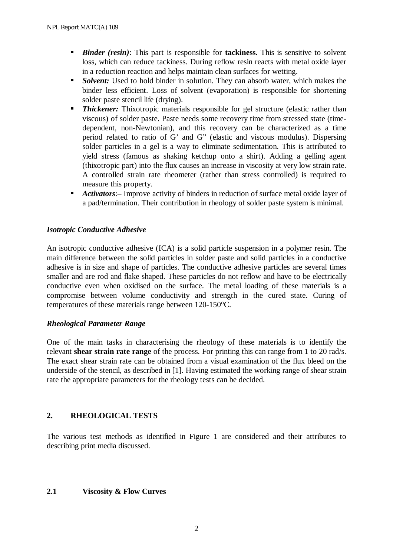- **Binder (resin):** This part is responsible for **tackiness.** This is sensitive to solvent loss, which can reduce tackiness. During reflow resin reacts with metal oxide layer in a reduction reaction and helps maintain clean surfaces for wetting.
- *Solvent:* Used to hold binder in solution. They can absorb water, which makes the binder less efficient. Loss of solvent (evaporation) is responsible for shortening solder paste stencil life (drying).
- **Thickener:** Thixotropic materials responsible for gel structure (elastic rather than viscous) of solder paste. Paste needs some recovery time from stressed state (timedependent, non-Newtonian), and this recovery can be characterized as a time period related to ratio of G' and G" (elastic and viscous modulus). Dispersing solder particles in a gel is a way to eliminate sedimentation. This is attributed to yield stress (famous as shaking ketchup onto a shirt). Adding a gelling agent (thixotropic part) into the flux causes an increase in viscosity at very low strain rate. A controlled strain rate rheometer (rather than stress controlled) is required to measure this property.
- *Activators*: Improve activity of binders in reduction of surface metal oxide layer of a pad/termination. Their contribution in rheology of solder paste system is minimal.

### *Isotropic Conductive Adhesive*

An isotropic conductive adhesive (ICA) is a solid particle suspension in a polymer resin. The main difference between the solid particles in solder paste and solid particles in a conductive adhesive is in size and shape of particles. The conductive adhesive particles are several times smaller and are rod and flake shaped. These particles do not reflow and have to be electrically conductive even when oxidised on the surface. The metal loading of these materials is a compromise between volume conductivity and strength in the cured state. Curing of temperatures of these materials range between 120-150°C.

#### *Rheological Parameter Range*

One of the main tasks in characterising the rheology of these materials is to identify the relevant **shear strain rate range** of the process. For printing this can range from 1 to 20 rad/s. The exact shear strain rate can be obtained from a visual examination of the flux bleed on the underside of the stencil, as described in [1]. Having estimated the working range of shear strain rate the appropriate parameters for the rheology tests can be decided.

#### **2. RHEOLOGICAL TESTS**

The various test methods as identified in Figure 1 are considered and their attributes to describing print media discussed.

#### **2.1 Viscosity & Flow Curves**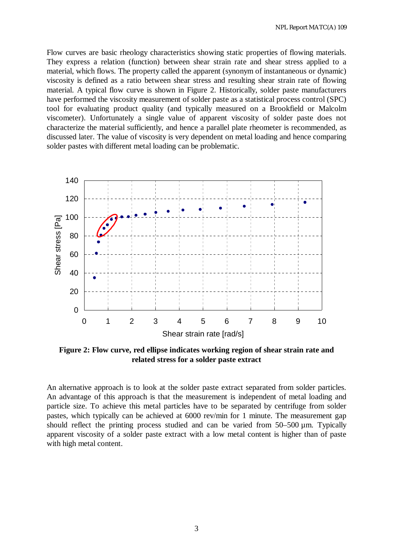Flow curves are basic rheology characteristics showing static properties of flowing materials. They express a relation (function) between shear strain rate and shear stress applied to a material, which flows. The property called the apparent (synonym of instantaneous or dynamic) viscosity is defined as a ratio between shear stress and resulting shear strain rate of flowing material. A typical flow curve is shown in Figure 2. Historically, solder paste manufacturers have performed the viscosity measurement of solder paste as a statistical process control (SPC) tool for evaluating product quality (and typically measured on a Brookfield or Malcolm viscometer). Unfortunately a single value of apparent viscosity of solder paste does not characterize the material sufficiently, and hence a parallel plate rheometer is recommended, as discussed later. The value of viscosity is very dependent on metal loading and hence comparing solder pastes with different metal loading can be problematic.



**Figure 2: Flow curve, red ellipse indicates working region of shear strain rate and related stress for a solder paste extract** 

An alternative approach is to look at the solder paste extract separated from solder particles. An advantage of this approach is that the measurement is independent of metal loading and particle size. To achieve this metal particles have to be separated by centrifuge from solder pastes, which typically can be achieved at 6000 rev/min for 1 minute. The measurement gap should reflect the printing process studied and can be varied from 50–500 µm. Typically apparent viscosity of a solder paste extract with a low metal content is higher than of paste with high metal content.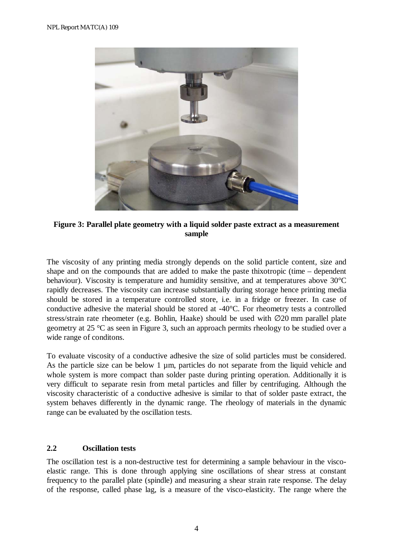

**Figure 3: Parallel plate geometry with a liquid solder paste extract as a measurement sample** 

The viscosity of any printing media strongly depends on the solid particle content, size and shape and on the compounds that are added to make the paste thixotropic (time – dependent behaviour). Viscosity is temperature and humidity sensitive, and at temperatures above 30°C rapidly decreases. The viscosity can increase substantially during storage hence printing media should be stored in a temperature controlled store, i.e. in a fridge or freezer. In case of conductive adhesive the material should be stored at -40°C. For rheometry tests a controlled stress/strain rate rheometer (e.g. Bohlin, Haake) should be used with ∅20 mm parallel plate geometry at 25 °C as seen in Figure 3, such an approach permits rheology to be studied over a wide range of conditons.

To evaluate viscosity of a conductive adhesive the size of solid particles must be considered. As the particle size can be below 1 µm, particles do not separate from the liquid vehicle and whole system is more compact than solder paste during printing operation. Additionally it is very difficult to separate resin from metal particles and filler by centrifuging. Although the viscosity characteristic of a conductive adhesive is similar to that of solder paste extract, the system behaves differently in the dynamic range. The rheology of materials in the dynamic range can be evaluated by the oscillation tests.

#### **2.2 Oscillation tests**

The oscillation test is a non-destructive test for determining a sample behaviour in the viscoelastic range. This is done through applying sine oscillations of shear stress at constant frequency to the parallel plate (spindle) and measuring a shear strain rate response. The delay of the response, called phase lag, is a measure of the visco-elasticity. The range where the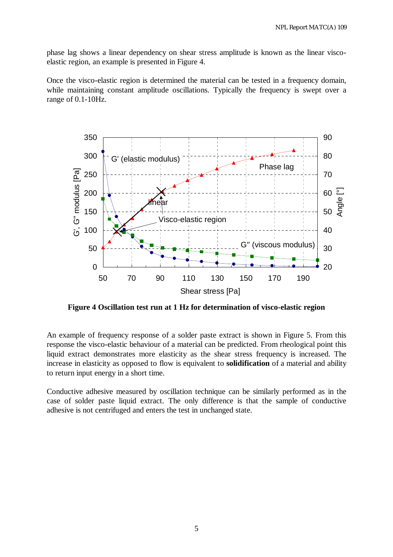phase lag shows a linear dependency on shear stress amplitude is known as the linear viscoelastic region, an example is presented in Figure 4.

Once the visco-elastic region is determined the material can be tested in a frequency domain, while maintaining constant amplitude oscillations. Typically the frequency is swept over a range of 0.1-10Hz.



**Figure 4 Oscillation test run at 1 Hz for determination of visco-elastic region** 

An example of frequency response of a solder paste extract is shown in Figure 5. From this response the visco-elastic behaviour of a material can be predicted. From rheological point this liquid extract demonstrates more elasticity as the shear stress frequency is increased. The increase in elasticity as opposed to flow is equivalent to **solidification** of a material and ability to return input energy in a short time.

Conductive adhesive measured by oscillation technique can be similarly performed as in the case of solder paste liquid extract. The only difference is that the sample of conductive adhesive is not centrifuged and enters the test in unchanged state.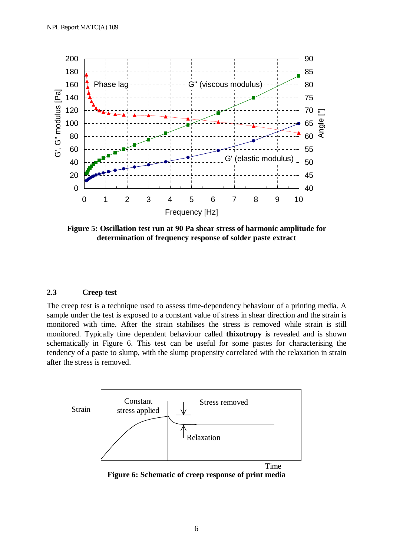

**Figure 5: Oscillation test run at 90 Pa shear stress of harmonic amplitude for determination of frequency response of solder paste extract** 

## **2.3 Creep test**

The creep test is a technique used to assess time-dependency behaviour of a printing media. A sample under the test is exposed to a constant value of stress in shear direction and the strain is monitored with time. After the strain stabilises the stress is removed while strain is still monitored. Typically time dependent behaviour called **thixotropy** is revealed and is shown schematically in Figure 6. This test can be useful for some pastes for characterising the tendency of a paste to slump, with the slump propensity correlated with the relaxation in strain after the stress is removed.



**Figure 6: Schematic of creep response of print media**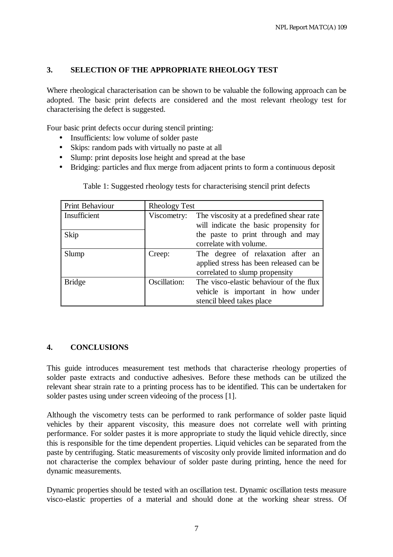## **3. SELECTION OF THE APPROPRIATE RHEOLOGY TEST**

Where rheological characterisation can be shown to be valuable the following approach can be adopted. The basic print defects are considered and the most relevant rheology test for characterising the defect is suggested.

Four basic print defects occur during stencil printing:

- Insufficients: low volume of solder paste
- Skips: random pads with virtually no paste at all
- Slump: print deposits lose height and spread at the base
- Bridging: particles and flux merge from adjacent prints to form a continuous deposit

| Print Behaviour | <b>Rheology Test</b> |                                          |  |
|-----------------|----------------------|------------------------------------------|--|
| Insufficient    | Viscometry:          | The viscosity at a predefined shear rate |  |
|                 |                      | will indicate the basic propensity for   |  |
| Skip            |                      | the paste to print through and may       |  |
|                 |                      | correlate with volume.                   |  |
| Slump           | Creep:               | The degree of relaxation after an        |  |
|                 |                      | applied stress has been released can be  |  |
|                 |                      | correlated to slump propensity           |  |
| <b>Bridge</b>   | Oscillation:         | The visco-elastic behaviour of the flux  |  |
|                 |                      | vehicle is important in how under        |  |
|                 |                      | stencil bleed takes place                |  |

Table 1: Suggested rheology tests for characterising stencil print defects

## **4. CONCLUSIONS**

This guide introduces measurement test methods that characterise rheology properties of solder paste extracts and conductive adhesives. Before these methods can be utilized the relevant shear strain rate to a printing process has to be identified. This can be undertaken for solder pastes using under screen videoing of the process [1].

Although the viscometry tests can be performed to rank performance of solder paste liquid vehicles by their apparent viscosity, this measure does not correlate well with printing performance. For solder pastes it is more appropriate to study the liquid vehicle directly, since this is responsible for the time dependent properties. Liquid vehicles can be separated from the paste by centrifuging. Static measurements of viscosity only provide limited information and do not characterise the complex behaviour of solder paste during printing, hence the need for dynamic measurements.

Dynamic properties should be tested with an oscillation test. Dynamic oscillation tests measure visco-elastic properties of a material and should done at the working shear stress. Of